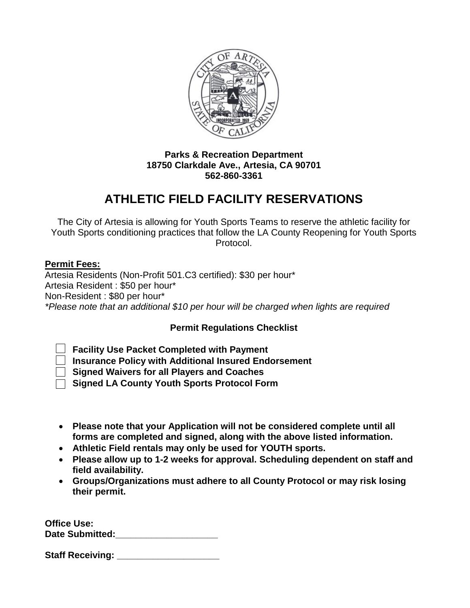

## **Parks & Recreation Department 18750 Clarkdale Ave., Artesia, CA 90701 562-860-3361**

# **ATHLETIC FIELD FACILITY RESERVATIONS**

The City of Artesia is allowing for Youth Sports Teams to reserve the athletic facility for Youth Sports conditioning practices that follow the LA County Reopening for Youth Sports Protocol.

## **Permit Fees:**

Artesia Residents (Non-Profit 501.C3 certified): \$30 per hour\* Artesia Resident : \$50 per hour\* Non-Resident : \$80 per hour\* *\*Please note that an additional \$10 per hour will be charged when lights are required*

## **Permit Regulations Checklist**

**Facility Use Packet Completed with Payment**

**Insurance Policy with Additional Insured Endorsement**

**Signed Waivers for all Players and Coaches**

**Signed LA County Youth Sports Protocol Form**

- **Please note that your Application will not be considered complete until all forms are completed and signed, along with the above listed information.**
- **Athletic Field rentals may only be used for YOUTH sports.**
- **Please allow up to 1-2 weeks for approval. Scheduling dependent on staff and field availability.**
- **Groups/Organizations must adhere to all County Protocol or may risk losing their permit.**

| <b>Office Use:</b>     |  |
|------------------------|--|
| <b>Date Submitted:</b> |  |

| <b>Staff Receiving:</b> |  |
|-------------------------|--|
|-------------------------|--|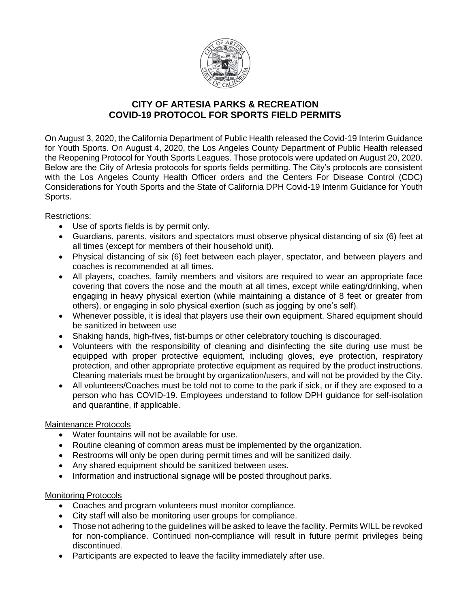

### **CITY OF ARTESIA PARKS & RECREATION COVID-19 PROTOCOL FOR SPORTS FIELD PERMITS**

On August 3, 2020, the California Department of Public Health released the Covid-19 Interim Guidance for Youth Sports. On August 4, 2020, the Los Angeles County Department of Public Health released the Reopening Protocol for Youth Sports Leagues. Those protocols were updated on August 20, 2020. Below are the City of Artesia protocols for sports fields permitting. The City's protocols are consistent with the Los Angeles County Health Officer orders and the Centers For Disease Control (CDC) Considerations for Youth Sports and the State of California DPH Covid-19 Interim Guidance for Youth Sports.

Restrictions:

- Use of sports fields is by permit only.
- Guardians, parents, visitors and spectators must observe physical distancing of six (6) feet at all times (except for members of their household unit).
- Physical distancing of six (6) feet between each player, spectator, and between players and coaches is recommended at all times.
- All players, coaches, family members and visitors are required to wear an appropriate face covering that covers the nose and the mouth at all times, except while eating/drinking, when engaging in heavy physical exertion (while maintaining a distance of 8 feet or greater from others), or engaging in solo physical exertion (such as jogging by one's self).
- Whenever possible, it is ideal that players use their own equipment. Shared equipment should be sanitized in between use
- Shaking hands, high-fives, fist-bumps or other celebratory touching is discouraged.
- Volunteers with the responsibility of cleaning and disinfecting the site during use must be equipped with proper protective equipment, including gloves, eye protection, respiratory protection, and other appropriate protective equipment as required by the product instructions. Cleaning materials must be brought by organization/users, and will not be provided by the City.
- All volunteers/Coaches must be told not to come to the park if sick, or if they are exposed to a person who has COVID-19. Employees understand to follow DPH guidance for self-isolation and quarantine, if applicable.

#### Maintenance Protocols

- Water fountains will not be available for use.
- Routine cleaning of common areas must be implemented by the organization.
- Restrooms will only be open during permit times and will be sanitized daily.
- Any shared equipment should be sanitized between uses.
- Information and instructional signage will be posted throughout parks.

#### Monitoring Protocols

- Coaches and program volunteers must monitor compliance.
- City staff will also be monitoring user groups for compliance.
- Those not adhering to the guidelines will be asked to leave the facility. Permits WILL be revoked for non-compliance. Continued non-compliance will result in future permit privileges being discontinued.
- Participants are expected to leave the facility immediately after use.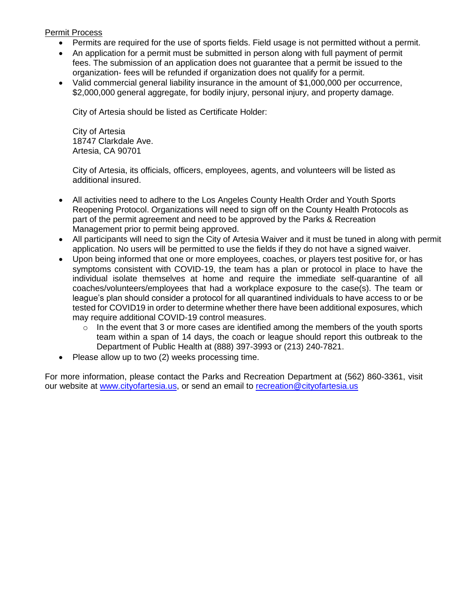#### Permit Process

- Permits are required for the use of sports fields. Field usage is not permitted without a permit.
- An application for a permit must be submitted in person along with full payment of permit fees. The submission of an application does not guarantee that a permit be issued to the organization- fees will be refunded if organization does not qualify for a permit.
- Valid commercial general liability insurance in the amount of \$1,000,000 per occurrence, \$2,000,000 general aggregate, for bodily injury, personal injury, and property damage.

City of Artesia should be listed as Certificate Holder:

City of Artesia 18747 Clarkdale Ave. Artesia, CA 90701

City of Artesia, its officials, officers, employees, agents, and volunteers will be listed as additional insured.

- All activities need to adhere to the Los Angeles County Health Order and Youth Sports Reopening Protocol. Organizations will need to sign off on the County Health Protocols as part of the permit agreement and need to be approved by the Parks & Recreation Management prior to permit being approved.
- All participants will need to sign the City of Artesia Waiver and it must be tuned in along with permit application. No users will be permitted to use the fields if they do not have a signed waiver.
- Upon being informed that one or more employees, coaches, or players test positive for, or has symptoms consistent with COVID-19, the team has a plan or protocol in place to have the individual isolate themselves at home and require the immediate self-quarantine of all coaches/volunteers/employees that had a workplace exposure to the case(s). The team or league's plan should consider a protocol for all quarantined individuals to have access to or be tested for COVID19 in order to determine whether there have been additional exposures, which may require additional COVID-19 control measures.
	- $\circ$  In the event that 3 or more cases are identified among the members of the youth sports team within a span of 14 days, the coach or league should report this outbreak to the Department of Public Health at (888) 397-3993 or (213) 240-7821.
- Please allow up to two (2) weeks processing time.

For more information, please contact the Parks and Recreation Department at (562) 860-3361, visit our website at [www.cityofartesia.us,](http://www.cityofartesia.us/) or send an email to [recreation@cityofartesia.us](mailto:recreation@cityofartesia.us)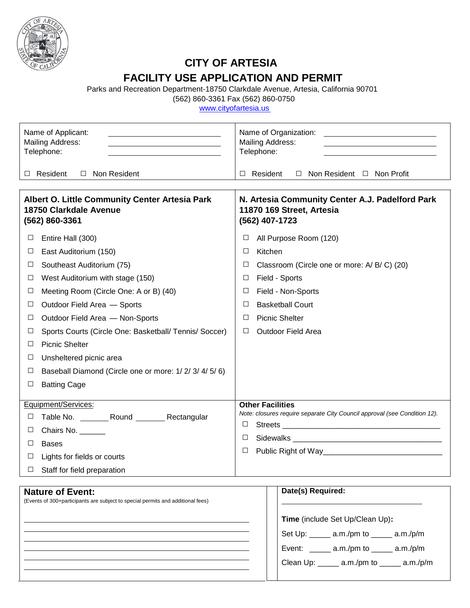

 $\overline{a}$ 

 $\overline{a}$ 

# **CITY OF ARTESIA FACILITY USE APPLICATION AND PERMIT**

Parks and Recreation Department-18750 Clarkdale Avenue, Artesia, California 90701

(562) 860-3361 Fax (562) 860-0750

www.cityofartesia.us

| Telephone:                                                                                                 | Name of Applicant:<br>Mailing Address:<br><u> 1989 - Johann Barn, mars ann an t-Amhain an t-Amhain an t-Amhain an t-Amhain an t-Amhain an t-Amhain an t-Amh</u> | Name of Organization:<br><u> 1989 - Johann Barbara, martxa alemaniar arg</u><br>Mailing Address:<br>Telephone: |                                                                                                |                                                                           |  |  |  |
|------------------------------------------------------------------------------------------------------------|-----------------------------------------------------------------------------------------------------------------------------------------------------------------|----------------------------------------------------------------------------------------------------------------|------------------------------------------------------------------------------------------------|---------------------------------------------------------------------------|--|--|--|
| $\Box$ Resident                                                                                            | □ Non Resident                                                                                                                                                  | $\Box$ Non Resident $\Box$ Non Profit<br>Resident<br>$\Box$                                                    |                                                                                                |                                                                           |  |  |  |
| Albert O. Little Community Center Artesia Park<br>18750 Clarkdale Avenue<br>(562) 860-3361                 |                                                                                                                                                                 |                                                                                                                | N. Artesia Community Center A.J. Padelford Park<br>11870 169 Street, Artesia<br>(562) 407-1723 |                                                                           |  |  |  |
| $\Box$                                                                                                     | Entire Hall (300)                                                                                                                                               | □                                                                                                              |                                                                                                | All Purpose Room (120)                                                    |  |  |  |
| $\Box$                                                                                                     | East Auditorium (150)                                                                                                                                           | □                                                                                                              | Kitchen                                                                                        |                                                                           |  |  |  |
| $\Box$                                                                                                     | Southeast Auditorium (75)                                                                                                                                       | $\Box$<br>Classroom (Circle one or more: A/B/C) (20)                                                           |                                                                                                |                                                                           |  |  |  |
| $\Box$                                                                                                     | West Auditorium with stage (150)                                                                                                                                | Field - Sports<br>□                                                                                            |                                                                                                |                                                                           |  |  |  |
| $\Box$                                                                                                     | Meeting Room (Circle One: A or B) (40)                                                                                                                          | $\Box$                                                                                                         |                                                                                                | Field - Non-Sports                                                        |  |  |  |
| $\Box$                                                                                                     | Outdoor Field Area - Sports                                                                                                                                     | <b>Basketball Court</b><br>□                                                                                   |                                                                                                |                                                                           |  |  |  |
| $\Box$                                                                                                     | Outdoor Field Area - Non-Sports                                                                                                                                 | <b>Picnic Shelter</b><br>$\Box$                                                                                |                                                                                                |                                                                           |  |  |  |
| $\Box$                                                                                                     | Sports Courts (Circle One: Basketball/ Tennis/ Soccer)                                                                                                          | □<br><b>Outdoor Field Area</b>                                                                                 |                                                                                                |                                                                           |  |  |  |
| $\Box$                                                                                                     | <b>Picnic Shelter</b>                                                                                                                                           |                                                                                                                |                                                                                                |                                                                           |  |  |  |
| $\Box$                                                                                                     | Unsheltered picnic area                                                                                                                                         |                                                                                                                |                                                                                                |                                                                           |  |  |  |
| $\Box$                                                                                                     | Baseball Diamond (Circle one or more: 1/2/3/4/5/6)                                                                                                              |                                                                                                                |                                                                                                |                                                                           |  |  |  |
| $\Box$                                                                                                     | <b>Batting Cage</b>                                                                                                                                             |                                                                                                                |                                                                                                |                                                                           |  |  |  |
|                                                                                                            | Equipment/Services:                                                                                                                                             | <b>Other Facilities</b>                                                                                        |                                                                                                |                                                                           |  |  |  |
| $\Box$                                                                                                     | Table No. __________ Round __________ Rectangular                                                                                                               |                                                                                                                |                                                                                                | Note: closures require separate City Council approval (see Condition 12). |  |  |  |
| $\Box$                                                                                                     | Chairs No. _____                                                                                                                                                | $\Box$                                                                                                         |                                                                                                |                                                                           |  |  |  |
| □                                                                                                          | <b>Bases</b>                                                                                                                                                    | $\Box$                                                                                                         |                                                                                                |                                                                           |  |  |  |
| $\Box$                                                                                                     | Lights for fields or courts                                                                                                                                     | $\Box$                                                                                                         |                                                                                                |                                                                           |  |  |  |
| $\Box$                                                                                                     | Staff for field preparation                                                                                                                                     |                                                                                                                |                                                                                                |                                                                           |  |  |  |
| <b>Nature of Event:</b><br>(Events of 300+participants are subject to special permits and additional fees) |                                                                                                                                                                 |                                                                                                                |                                                                                                | Date(s) Required:<br>Time (include Set Up/Clean Up):                      |  |  |  |

Set Up: \_\_\_\_\_ a.m./pm to \_\_\_\_\_ a.m./p/m

Event: \_\_\_\_\_ a.m./pm to \_\_\_\_\_ a.m./p/m

Clean Up: \_\_\_\_\_ a.m./pm to \_\_\_\_\_ a.m./p/m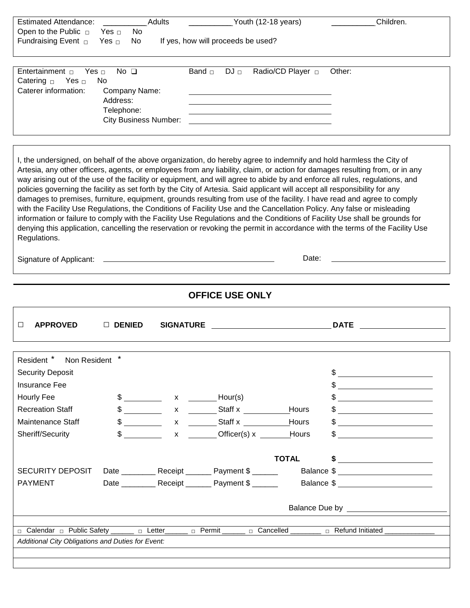| <b>Estimated Attendance:</b>                                                                                                                                                                                                   |                                                         | Adults                        |                                    |             | Youth (12-18 years)   |                              | Children.                                                                                                                                                                                                                                                                                                           |
|--------------------------------------------------------------------------------------------------------------------------------------------------------------------------------------------------------------------------------|---------------------------------------------------------|-------------------------------|------------------------------------|-------------|-----------------------|------------------------------|---------------------------------------------------------------------------------------------------------------------------------------------------------------------------------------------------------------------------------------------------------------------------------------------------------------------|
| Open to the Public $\Box$                                                                                                                                                                                                      | No<br>Yes $\Box$                                        |                               |                                    |             |                       |                              |                                                                                                                                                                                                                                                                                                                     |
| Fundraising Event <sub>D</sub>                                                                                                                                                                                                 | Yes $\Box$<br>No                                        |                               | If yes, how will proceeds be used? |             |                       |                              |                                                                                                                                                                                                                                                                                                                     |
|                                                                                                                                                                                                                                |                                                         |                               |                                    |             |                       |                              |                                                                                                                                                                                                                                                                                                                     |
|                                                                                                                                                                                                                                |                                                         |                               |                                    |             |                       |                              |                                                                                                                                                                                                                                                                                                                     |
| Entertainment $\Box$<br>Yes $\Box$                                                                                                                                                                                             | No $\square$                                            |                               | Band $\Box$                        | $DJ$ $\Box$ |                       | Radio/CD Player <sub>D</sub> | Other:                                                                                                                                                                                                                                                                                                              |
| Catering $\Box$<br>Yes $\Box$                                                                                                                                                                                                  | No                                                      |                               |                                    |             |                       |                              |                                                                                                                                                                                                                                                                                                                     |
| Caterer information:                                                                                                                                                                                                           | Company Name:                                           |                               |                                    |             |                       |                              |                                                                                                                                                                                                                                                                                                                     |
|                                                                                                                                                                                                                                | Address:                                                |                               |                                    |             |                       |                              |                                                                                                                                                                                                                                                                                                                     |
|                                                                                                                                                                                                                                | Telephone:<br><b>City Business Number:</b>              |                               |                                    |             |                       |                              |                                                                                                                                                                                                                                                                                                                     |
|                                                                                                                                                                                                                                |                                                         |                               |                                    |             |                       |                              |                                                                                                                                                                                                                                                                                                                     |
|                                                                                                                                                                                                                                |                                                         |                               |                                    |             |                       |                              |                                                                                                                                                                                                                                                                                                                     |
|                                                                                                                                                                                                                                |                                                         |                               |                                    |             |                       |                              |                                                                                                                                                                                                                                                                                                                     |
|                                                                                                                                                                                                                                |                                                         |                               |                                    |             |                       |                              | I, the undersigned, on behalf of the above organization, do hereby agree to indemnify and hold harmless the City of                                                                                                                                                                                                 |
|                                                                                                                                                                                                                                |                                                         |                               |                                    |             |                       |                              | Artesia, any other officers, agents, or employees from any liability, claim, or action for damages resulting from, or in any                                                                                                                                                                                        |
|                                                                                                                                                                                                                                |                                                         |                               |                                    |             |                       |                              | way arising out of the use of the facility or equipment, and will agree to abide by and enforce all rules, regulations, and                                                                                                                                                                                         |
| policies governing the facility as set forth by the City of Artesia. Said applicant will accept all responsibility for any                                                                                                     |                                                         |                               |                                    |             |                       |                              |                                                                                                                                                                                                                                                                                                                     |
|                                                                                                                                                                                                                                |                                                         |                               |                                    |             |                       |                              | damages to premises, furniture, equipment, grounds resulting from use of the facility. I have read and agree to comply                                                                                                                                                                                              |
|                                                                                                                                                                                                                                |                                                         |                               |                                    |             |                       |                              | with the Facility Use Regulations, the Conditions of Facility Use and the Cancellation Policy. Any false or misleading                                                                                                                                                                                              |
|                                                                                                                                                                                                                                |                                                         |                               |                                    |             |                       |                              | information or failure to comply with the Facility Use Regulations and the Conditions of Facility Use shall be grounds for                                                                                                                                                                                          |
|                                                                                                                                                                                                                                |                                                         |                               |                                    |             |                       |                              | denying this application, cancelling the reservation or revoking the permit in accordance with the terms of the Facility Use                                                                                                                                                                                        |
| Regulations.                                                                                                                                                                                                                   |                                                         |                               |                                    |             |                       |                              |                                                                                                                                                                                                                                                                                                                     |
|                                                                                                                                                                                                                                |                                                         |                               |                                    |             |                       |                              |                                                                                                                                                                                                                                                                                                                     |
| Signature of Applicant:                                                                                                                                                                                                        | <u> 1989 - Johann Stoff, amerikansk politiker (</u>     |                               |                                    |             |                       | Date:                        |                                                                                                                                                                                                                                                                                                                     |
|                                                                                                                                                                                                                                |                                                         |                               |                                    |             |                       |                              |                                                                                                                                                                                                                                                                                                                     |
|                                                                                                                                                                                                                                |                                                         |                               |                                    |             |                       |                              |                                                                                                                                                                                                                                                                                                                     |
|                                                                                                                                                                                                                                |                                                         |                               | <b>OFFICE USE ONLY</b>             |             |                       |                              |                                                                                                                                                                                                                                                                                                                     |
|                                                                                                                                                                                                                                |                                                         |                               |                                    |             |                       |                              |                                                                                                                                                                                                                                                                                                                     |
|                                                                                                                                                                                                                                |                                                         |                               |                                    |             |                       |                              |                                                                                                                                                                                                                                                                                                                     |
| <b>APPROVED</b><br>□                                                                                                                                                                                                           | $\Box$ DENIED                                           | <b>SIGNATURE</b>              |                                    |             |                       |                              | <b>DATE</b>                                                                                                                                                                                                                                                                                                         |
|                                                                                                                                                                                                                                |                                                         |                               |                                    |             |                       |                              |                                                                                                                                                                                                                                                                                                                     |
|                                                                                                                                                                                                                                |                                                         |                               |                                    |             |                       |                              |                                                                                                                                                                                                                                                                                                                     |
| Resident * Non Resident *                                                                                                                                                                                                      |                                                         |                               |                                    |             |                       |                              |                                                                                                                                                                                                                                                                                                                     |
|                                                                                                                                                                                                                                |                                                         |                               |                                    |             |                       |                              |                                                                                                                                                                                                                                                                                                                     |
| <b>Security Deposit</b>                                                                                                                                                                                                        |                                                         |                               |                                    |             |                       |                              |                                                                                                                                                                                                                                                                                                                     |
| <b>Insurance Fee</b>                                                                                                                                                                                                           |                                                         |                               |                                    |             |                       |                              |                                                                                                                                                                                                                                                                                                                     |
| Hourly Fee                                                                                                                                                                                                                     |                                                         | $\text{S}$ x $\text{Hour(s)}$ |                                    |             |                       |                              | $\frac{1}{2}$ $\frac{1}{2}$ $\frac{1}{2}$ $\frac{1}{2}$ $\frac{1}{2}$ $\frac{1}{2}$ $\frac{1}{2}$ $\frac{1}{2}$ $\frac{1}{2}$ $\frac{1}{2}$ $\frac{1}{2}$ $\frac{1}{2}$ $\frac{1}{2}$ $\frac{1}{2}$ $\frac{1}{2}$ $\frac{1}{2}$ $\frac{1}{2}$ $\frac{1}{2}$ $\frac{1}{2}$ $\frac{1}{2}$ $\frac{1}{2}$ $\frac{1}{2}$ |
| <b>Recreation Staff</b>                                                                                                                                                                                                        | $\frac{1}{2}$                                           |                               |                                    |             | x Staff x             | Hours                        | $\frac{1}{2}$ $\frac{1}{2}$ $\frac{1}{2}$ $\frac{1}{2}$ $\frac{1}{2}$ $\frac{1}{2}$ $\frac{1}{2}$ $\frac{1}{2}$ $\frac{1}{2}$ $\frac{1}{2}$ $\frac{1}{2}$ $\frac{1}{2}$ $\frac{1}{2}$ $\frac{1}{2}$ $\frac{1}{2}$ $\frac{1}{2}$ $\frac{1}{2}$ $\frac{1}{2}$ $\frac{1}{2}$ $\frac{1}{2}$ $\frac{1}{2}$ $\frac{1}{2}$ |
| Maintenance Staff                                                                                                                                                                                                              | $\frac{1}{2}$                                           |                               | $x \sim$                           |             | Staff x $\frac{1}{2}$ | Hours                        | $\frac{1}{2}$ $\frac{1}{2}$ $\frac{1}{2}$ $\frac{1}{2}$ $\frac{1}{2}$ $\frac{1}{2}$ $\frac{1}{2}$ $\frac{1}{2}$ $\frac{1}{2}$ $\frac{1}{2}$ $\frac{1}{2}$ $\frac{1}{2}$ $\frac{1}{2}$ $\frac{1}{2}$ $\frac{1}{2}$ $\frac{1}{2}$ $\frac{1}{2}$ $\frac{1}{2}$ $\frac{1}{2}$ $\frac{1}{2}$ $\frac{1}{2}$ $\frac{1}{2}$ |
|                                                                                                                                                                                                                                |                                                         |                               |                                    |             |                       |                              |                                                                                                                                                                                                                                                                                                                     |
| Sheriff/Security                                                                                                                                                                                                               | $\sim$                                                  |                               |                                    |             | x Officer(s) x Hours  |                              | $\frac{1}{2}$                                                                                                                                                                                                                                                                                                       |
|                                                                                                                                                                                                                                |                                                         |                               |                                    |             |                       |                              |                                                                                                                                                                                                                                                                                                                     |
|                                                                                                                                                                                                                                |                                                         |                               |                                    |             |                       | <b>TOTAL</b>                 |                                                                                                                                                                                                                                                                                                                     |
| <b>SECURITY DEPOSIT</b>                                                                                                                                                                                                        | Date _____________ Receipt _________ Payment \$ _______ |                               |                                    |             |                       |                              | Balance \$ ________________________                                                                                                                                                                                                                                                                                 |
| <b>PAYMENT</b>                                                                                                                                                                                                                 | Date ____________ Receipt ________ Payment \$ _______   |                               |                                    |             |                       |                              | Balance \$                                                                                                                                                                                                                                                                                                          |
|                                                                                                                                                                                                                                |                                                         |                               |                                    |             |                       |                              |                                                                                                                                                                                                                                                                                                                     |
|                                                                                                                                                                                                                                |                                                         |                               |                                    |             |                       |                              |                                                                                                                                                                                                                                                                                                                     |
|                                                                                                                                                                                                                                |                                                         |                               |                                    |             |                       |                              |                                                                                                                                                                                                                                                                                                                     |
|                                                                                                                                                                                                                                |                                                         |                               |                                    |             |                       |                              |                                                                                                                                                                                                                                                                                                                     |
| n Calendar n Public Safety network of Letter n and Dermit n and Dermit n and Dermit n and Dermit n and Dermit n and Dermit n and Dermit n and Dermit n and Dermit n and Dermit n and Dermit n and Dermit n and Dermit n and De |                                                         |                               |                                    |             |                       |                              |                                                                                                                                                                                                                                                                                                                     |
| Additional City Obligations and Duties for Event:                                                                                                                                                                              |                                                         |                               |                                    |             |                       |                              |                                                                                                                                                                                                                                                                                                                     |
|                                                                                                                                                                                                                                |                                                         |                               |                                    |             |                       |                              |                                                                                                                                                                                                                                                                                                                     |
|                                                                                                                                                                                                                                |                                                         |                               |                                    |             |                       |                              |                                                                                                                                                                                                                                                                                                                     |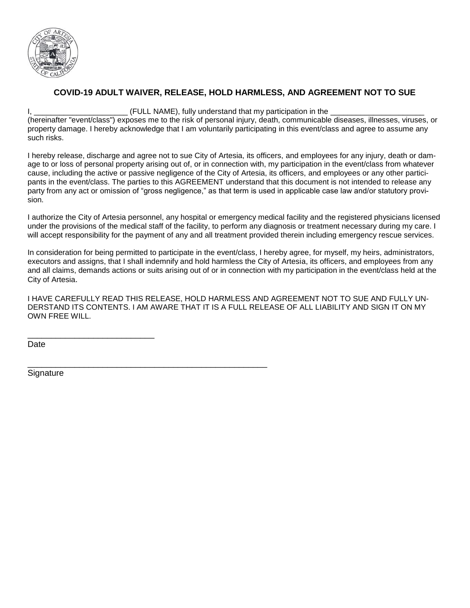

#### **COVID-19 ADULT WAIVER, RELEASE, HOLD HARMLESS, AND AGREEMENT NOT TO SUE**

I, \_\_\_\_\_\_\_\_\_\_\_\_\_\_\_\_\_\_\_\_\_\_ (FULL NAME), fully understand that my participation in the \_\_\_\_\_\_\_\_\_\_\_\_\_\_\_\_\_\_\_\_\_\_

(hereinafter "event/class") exposes me to the risk of personal injury, death, communicable diseases, illnesses, viruses, or property damage. I hereby acknowledge that I am voluntarily participating in this event/class and agree to assume any such risks.

I hereby release, discharge and agree not to sue City of Artesia, its officers, and employees for any injury, death or damage to or loss of personal property arising out of, or in connection with, my participation in the event/class from whatever cause, including the active or passive negligence of the City of Artesia, its officers, and employees or any other participants in the event/class. The parties to this AGREEMENT understand that this document is not intended to release any party from any act or omission of "gross negligence," as that term is used in applicable case law and/or statutory provision.

I authorize the City of Artesia personnel, any hospital or emergency medical facility and the registered physicians licensed under the provisions of the medical staff of the facility, to perform any diagnosis or treatment necessary during my care. I will accept responsibility for the payment of any and all treatment provided therein including emergency rescue services.

In consideration for being permitted to participate in the event/class, I hereby agree, for myself, my heirs, administrators, executors and assigns, that I shall indemnify and hold harmless the City of Artesia, its officers, and employees from any and all claims, demands actions or suits arising out of or in connection with my participation in the event/class held at the City of Artesia.

I HAVE CAREFULLY READ THIS RELEASE, HOLD HARMLESS AND AGREEMENT NOT TO SUE AND FULLY UN-DERSTAND ITS CONTENTS. I AM AWARE THAT IT IS A FULL RELEASE OF ALL LIABILITY AND SIGN IT ON MY OWN FREE WILL.

Date

**Signature** 

\_\_\_\_\_\_\_\_\_\_\_\_\_\_\_\_\_\_\_\_\_\_\_\_\_\_\_

\_\_\_\_\_\_\_\_\_\_\_\_\_\_\_\_\_\_\_\_\_\_\_\_\_\_\_\_\_\_\_\_\_\_\_\_\_\_\_\_\_\_\_\_\_\_\_\_\_\_\_